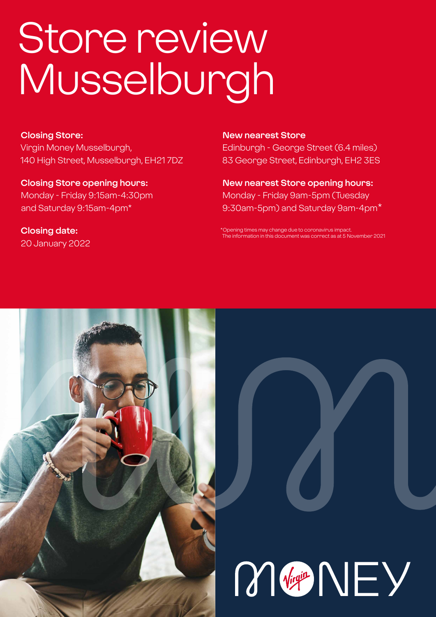# Store review Musselburgh

#### **Closing Store:**

Virgin Money Musselburgh, 140 High Street, Musselburgh, EH21 7DZ

**Closing Store opening hours:**  Monday - Friday 9:15am-4:30pm and Saturday 9:15am-4pm\*

**Closing date:**  20 January 2022

#### **New nearest Store**

Edinburgh - George Street (6.4 miles) 83 George Street, Edinburgh, EH2 3ES

**New nearest Store opening hours:** Monday - Friday 9am-5pm (Tuesday 9:30am-5pm) and Saturday 9am-4pm\*

\*Opening times may change due to coronavirus impact. The information in this document was correct as at 5 November 2021



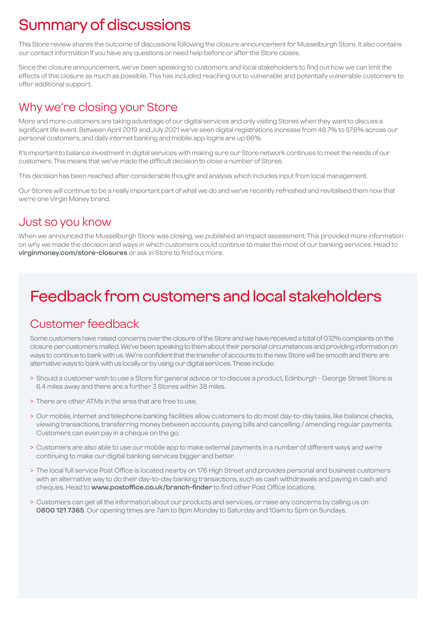# Summary of discussions

This Store review shares the outcome of discussions following the closure announcement for Musselburgh Store. It also contains our contact information if you have any questions or need help before or after the Store closes.

Since the closure announcement, we've been speaking to customers and local stakeholders to find out how we can limit the effects of this closure as much as possible. This has included reaching out to vulnerable and potentially vulnerable customers to offer additional support.

### Why we're closing your Store

More and more customers are taking advantage of our digital services and only visiting Stores when they want to discuss a significant life event. Between April 2019 and July 2021 we've seen digital registrations increase from 48.7% to 57.6% across our personal customers, and daily internet banking and mobile app logins are up 66%.

It's important to balance investment in digital services with making sure our Store network continues to meet the needs of our customers. This means that we've made the difficult decision to close a number of Stores.

This decision has been reached after considerable thought and analysis which includes input from local management.

Our Stores will continue to be a really important part of what we do and we've recently refreshed and revitalised them now that we're one Virgin Money brand.

### Just so you know

When we announced the Musselburgh Store was closing, we published an impact assessment. This provided more information on why we made the decision and ways in which customers could continue to make the most of our banking services. Head to **virginmoney.com/store-closures** or ask in Store to find out more.

# Feedback from customers and local stakeholders

### Customer feedback

Some customers have raised concerns over the closure of the Store and we have received a total of 0.12% complaints on the closure per customers mailed. We've been speaking to them about their personal circumstances and providing information on ways to continue to bank with us. We're confident that the transfer of accounts to the new Store will be smooth and there are alternative ways to bank with us locally or by using our digital services. These include:

- > Should a customer wish to use a Store for general advice or to discuss a product, Edinburgh George Street Store is 6.4 miles away and there are a further 3 Stores within 38 miles.
- > There are other ATMs in the area that are free to use.
- > Our mobile, internet and telephone banking facilities allow customers to do most day-to-day tasks, like balance checks, viewing transactions, transferring money between accounts, paying bills and cancelling / amending regular payments. Customers can even pay in a cheque on the go.
- > Customers are also able to use our mobile app to make external payments in a number of different ways and we're continuing to make our digital banking services bigger and better.
- > The local full service Post Office is located nearby on 176 High Street and provides personal and business customers with an alternative way to do their day-to-day banking transactions, such as cash withdrawals and paying in cash and cheques. Head to **www.postoffice.co.uk/branch-finder** to find other Post Office locations.
- > Customers can get all the information about our products and services, or raise any concerns by calling us on **0800 121 7365**. Our opening times are 7am to 9pm Monday to Saturday and 10am to 5pm on Sundays.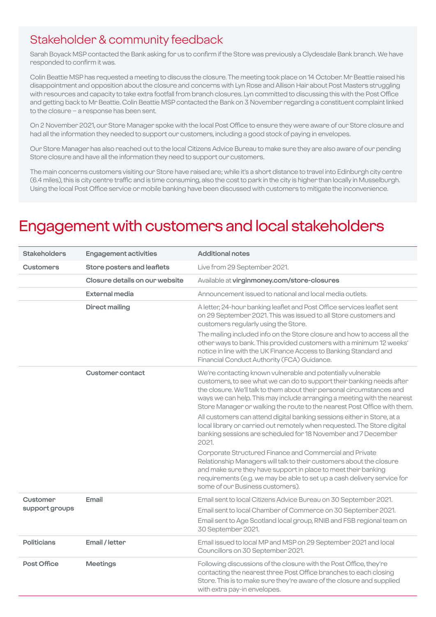### Stakeholder & community feedback

Sarah Boyack MSP contacted the Bank asking for us to confirm if the Store was previously a Clydesdale Bank branch. We have responded to confirm it was.

Colin Beattie MSP has requested a meeting to discuss the closure. The meeting took place on 14 October. Mr Beattie raised his disappointment and opposition about the closure and concerns with Lyn Rose and Allison Hair about Post Masters struggling with resources and capacity to take extra footfall from branch closures. Lyn committed to discussing this with the Post Office and getting back to Mr Beattie. Colin Beattie MSP contacted the Bank on 3 November regarding a constituent complaint linked to the closure – a response has been sent.

On 2 November 2021, our Store Manager spoke with the local Post Office to ensure they were aware of our Store closure and had all the information they needed to support our customers, including a good stock of paying in envelopes.

Our Store Manager has also reached out to the local Citizens Advice Bureau to make sure they are also aware of our pending Store closure and have all the information they need to support our customers.

The main concerns customers visiting our Store have raised are; while it's a short distance to travel into Edinburgh city centre (6.4 miles), this is city centre traffic and is time consuming, also the cost to park in the city is higher than locally in Musselburgh. Using the local Post Office service or mobile banking have been discussed with customers to mitigate the inconvenience.

### Engagement with customers and local stakeholders

| <b>Stakeholders</b>        | <b>Engagement activities</b>   | <b>Additional notes</b>                                                                                                                                                                                                                                                                                                                                                |
|----------------------------|--------------------------------|------------------------------------------------------------------------------------------------------------------------------------------------------------------------------------------------------------------------------------------------------------------------------------------------------------------------------------------------------------------------|
| <b>Customers</b>           | Store posters and leaflets     | Live from 29 September 2021.                                                                                                                                                                                                                                                                                                                                           |
|                            | Closure details on our website | Available at virginmoney.com/store-closures                                                                                                                                                                                                                                                                                                                            |
|                            | External media                 | Announcement issued to national and local media outlets.                                                                                                                                                                                                                                                                                                               |
|                            | <b>Direct mailing</b>          | A letter, 24-hour banking leaflet and Post Office services leaflet sent<br>on 29 September 2021. This was issued to all Store customers and<br>customers regularly using the Store.                                                                                                                                                                                    |
|                            |                                | The mailing included info on the Store closure and how to access all the<br>other ways to bank. This provided customers with a minimum 12 weeks'<br>notice in line with the UK Finance Access to Banking Standard and<br>Financial Conduct Authority (FCA) Guidance.                                                                                                   |
|                            | Customer contact               | We're contacting known vulnerable and potentially vulnerable<br>customers, to see what we can do to support their banking needs after<br>the closure. We'll talk to them about their personal circumstances and<br>ways we can help. This may include arranging a meeting with the nearest<br>Store Manager or walking the route to the nearest Post Office with them. |
|                            |                                | All customers can attend digital banking sessions either in Store, at a<br>local library or carried out remotely when requested. The Store digital<br>banking sessions are scheduled for 18 November and 7 December<br>2021.                                                                                                                                           |
|                            |                                | Corporate Structured Finance and Commercial and Private<br>Relationship Managers will talk to their customers about the closure<br>and make sure they have support in place to meet their banking<br>requirements (e.g. we may be able to set up a cash delivery service for<br>some of our Business customers).                                                       |
| Customer<br>support groups | Email                          | Email sent to local Citizens Advice Bureau on 30 September 2021.                                                                                                                                                                                                                                                                                                       |
|                            |                                | Email sent to local Chamber of Commerce on 30 September 2021.                                                                                                                                                                                                                                                                                                          |
|                            |                                | Email sent to Age Scotland local group, RNIB and FSB regional team on<br>30 September 2021.                                                                                                                                                                                                                                                                            |
| <b>Politicians</b>         | Email / letter                 | Email issued to local MP and MSP on 29 September 2021 and local<br>Councillors on 30 September 2021.                                                                                                                                                                                                                                                                   |
| Post Office                | <b>Meetings</b>                | Following discussions of the closure with the Post Office, they're<br>contacting the nearest three Post Office branches to each closing<br>Store. This is to make sure they're aware of the closure and supplied<br>with extra pay-in envelopes.                                                                                                                       |